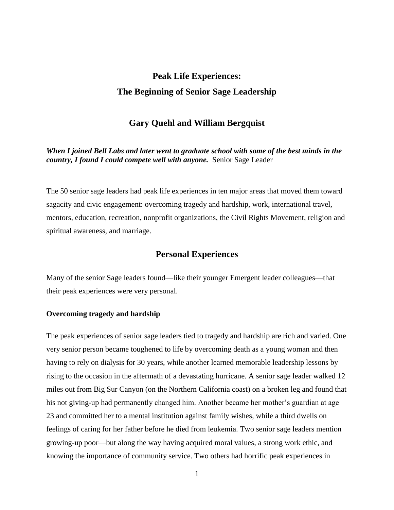# **Peak Life Experiences: The Beginning of Senior Sage Leadership**

# **Gary Quehl and William Bergquist**

*When I joined Bell Labs and later went to graduate school with some of the best minds in the country, I found I could compete well with anyone.* Senior Sage Leader

The 50 senior sage leaders had peak life experiences in ten major areas that moved them toward sagacity and civic engagement: overcoming tragedy and hardship, work, international travel, mentors, education, recreation, nonprofit organizations, the Civil Rights Movement, religion and spiritual awareness, and marriage.

## **Personal Experiences**

Many of the senior Sage leaders found—like their younger Emergent leader colleagues—that their peak experiences were very personal.

#### **Overcoming tragedy and hardship**

The peak experiences of senior sage leaders tied to tragedy and hardship are rich and varied. One very senior person became toughened to life by overcoming death as a young woman and then having to rely on dialysis for 30 years, while another learned memorable leadership lessons by rising to the occasion in the aftermath of a devastating hurricane. A senior sage leader walked 12 miles out from Big Sur Canyon (on the Northern California coast) on a broken leg and found that his not giving-up had permanently changed him. Another became her mother's guardian at age 23 and committed her to a mental institution against family wishes, while a third dwells on feelings of caring for her father before he died from leukemia. Two senior sage leaders mention growing-up poor—but along the way having acquired moral values, a strong work ethic, and knowing the importance of community service. Two others had horrific peak experiences in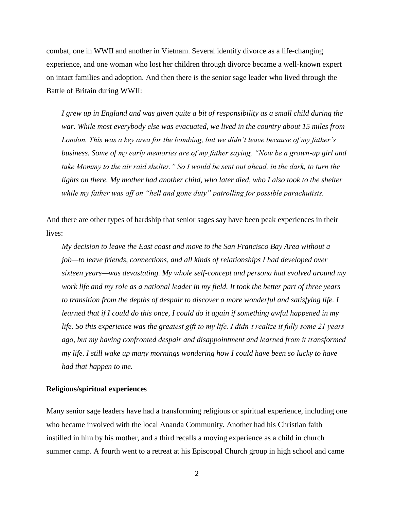combat, one in WWII and another in Vietnam. Several identify divorce as a life-changing experience, and one woman who lost her children through divorce became a well-known expert on intact families and adoption. And then there is the senior sage leader who lived through the Battle of Britain during WWII:

*I grew up in England and was given quite a bit of responsibility as a small child during the war. While most everybody else was evacuated, we lived in the country about 15 miles from London. This was a key area for the bombing, but we didn't leave because of my father's business. Some of my early memories are of my father saying, "Now be a grown-up girl and*  take Mommy to the air raid shelter." So I would be sent out ahead, in the dark, to turn the *lights on there. My mother had another child, who later died, who I also took to the shelter while my father was off on "hell and gone duty" patrolling for possible parachutists.* 

And there are other types of hardship that senior sages say have been peak experiences in their lives:

*My decision to leave the East coast and move to the San Francisco Bay Area without a job—to leave friends, connections, and all kinds of relationships I had developed over sixteen years—was devastating. My whole self-concept and persona had evolved around my work life and my role as a national leader in my field. It took the better part of three years to transition from the depths of despair to discover a more wonderful and satisfying life. I learned that if I could do this once, I could do it again if something awful happened in my life. So this experience was the greatest gift to my life. I didn't realize it fully some 21 years ago, but my having confronted despair and disappointment and learned from it transformed my life. I still wake up many mornings wondering how I could have been so lucky to have had that happen to me.* 

#### **Religious/spiritual experiences**

Many senior sage leaders have had a transforming religious or spiritual experience, including one who became involved with the local Ananda Community. Another had his Christian faith instilled in him by his mother, and a third recalls a moving experience as a child in church summer camp. A fourth went to a retreat at his Episcopal Church group in high school and came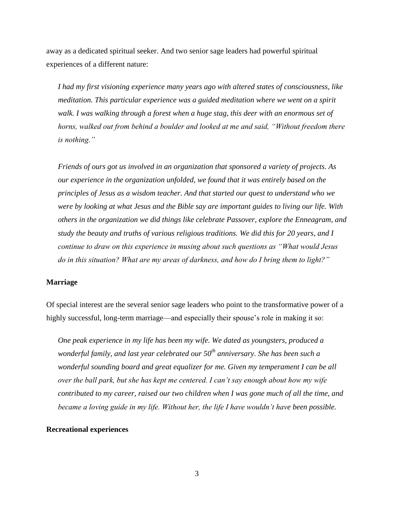away as a dedicated spiritual seeker. And two senior sage leaders had powerful spiritual experiences of a different nature:

*I had my first visioning experience many years ago with altered states of consciousness, like meditation. This particular experience was a guided meditation where we went on a spirit*  walk. I was walking through a forest when a huge stag, this deer with an enormous set of *horns, walked out from behind a boulder and looked at me and said, "Without freedom there is nothing."* 

 *Friends of ours got us involved in an organization that sponsored a variety of projects. As our experience in the organization unfolded, we found that it was entirely based on the principles of Jesus as a wisdom teacher. And that started our quest to understand who we were by looking at what Jesus and the Bible say are important guides to living our life. With others in the organization we did things like celebrate Passover, explore the Enneagram, and study the beauty and truths of various religious traditions. We did this for 20 years, and I continue to draw on this experience in musing about such questions as "What would Jesus do in this situation? What are my areas of darkness, and how do I bring them to light?"* 

#### **Marriage**

Of special interest are the several senior sage leaders who point to the transformative power of a highly successful, long-term marriage—and especially their spouse's role in making it so:

 *One peak experience in my life has been my wife. We dated as youngsters, produced a wonderful family, and last year celebrated our 50th anniversary. She has been such a wonderful sounding board and great equalizer for me. Given my temperament I can be all over the ball park, but she has kept me centered. I can't say enough about how my wife contributed to my career, raised our two children when I was gone much of all the time, and became a loving guide in my life. Without her, the life I have wouldn't have been possible.* 

#### **Recreational experiences**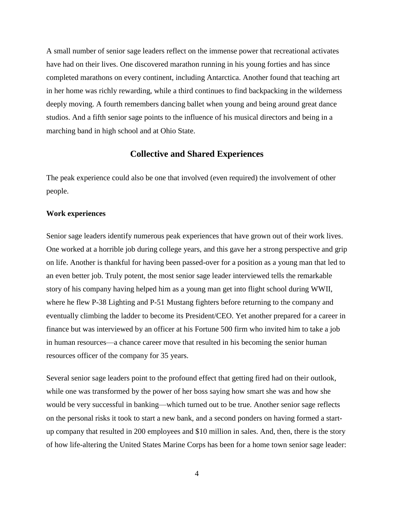A small number of senior sage leaders reflect on the immense power that recreational activates have had on their lives. One discovered marathon running in his young forties and has since completed marathons on every continent, including Antarctica. Another found that teaching art in her home was richly rewarding, while a third continues to find backpacking in the wilderness deeply moving. A fourth remembers dancing ballet when young and being around great dance studios. And a fifth senior sage points to the influence of his musical directors and being in a marching band in high school and at Ohio State.

# **Collective and Shared Experiences**

The peak experience could also be one that involved (even required) the involvement of other people.

#### **Work experiences**

Senior sage leaders identify numerous peak experiences that have grown out of their work lives. One worked at a horrible job during college years, and this gave her a strong perspective and grip on life. Another is thankful for having been passed-over for a position as a young man that led to an even better job. Truly potent, the most senior sage leader interviewed tells the remarkable story of his company having helped him as a young man get into flight school during WWII, where he flew P-38 Lighting and P-51 Mustang fighters before returning to the company and eventually climbing the ladder to become its President/CEO. Yet another prepared for a career in finance but was interviewed by an officer at his Fortune 500 firm who invited him to take a job in human resources—a chance career move that resulted in his becoming the senior human resources officer of the company for 35 years.

Several senior sage leaders point to the profound effect that getting fired had on their outlook, while one was transformed by the power of her boss saying how smart she was and how she would be very successful in banking—which turned out to be true. Another senior sage reflects on the personal risks it took to start a new bank, and a second ponders on having formed a startup company that resulted in 200 employees and \$10 million in sales. And, then, there is the story of how life-altering the United States Marine Corps has been for a home town senior sage leader: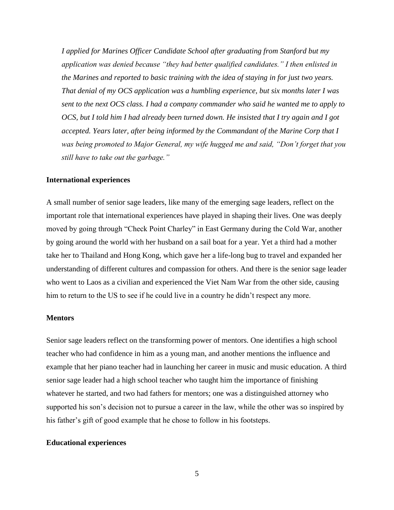*I applied for Marines Officer Candidate School after graduating from Stanford but my application was denied because "they had better qualified candidates." I then enlisted in the Marines and reported to basic training with the idea of staying in for just two years. That denial of my OCS application was a humbling experience, but six months later I was sent to the next OCS class. I had a company commander who said he wanted me to apply to OCS, but I told him I had already been turned down. He insisted that I try again and I got accepted. Years later, after being informed by the Commandant of the Marine Corp that I was being promoted to Major General, my wife hugged me and said, "Don't forget that you still have to take out the garbage."* 

#### **International experiences**

A small number of senior sage leaders, like many of the emerging sage leaders, reflect on the important role that international experiences have played in shaping their lives. One was deeply moved by going through "Check Point Charley" in East Germany during the Cold War, another by going around the world with her husband on a sail boat for a year. Yet a third had a mother take her to Thailand and Hong Kong, which gave her a life-long bug to travel and expanded her understanding of different cultures and compassion for others. And there is the senior sage leader who went to Laos as a civilian and experienced the Viet Nam War from the other side, causing him to return to the US to see if he could live in a country he didn't respect any more.

#### **Mentors**

Senior sage leaders reflect on the transforming power of mentors. One identifies a high school teacher who had confidence in him as a young man, and another mentions the influence and example that her piano teacher had in launching her career in music and music education. A third senior sage leader had a high school teacher who taught him the importance of finishing whatever he started, and two had fathers for mentors; one was a distinguished attorney who supported his son's decision not to pursue a career in the law, while the other was so inspired by his father's gift of good example that he chose to follow in his footsteps.

#### **Educational experiences**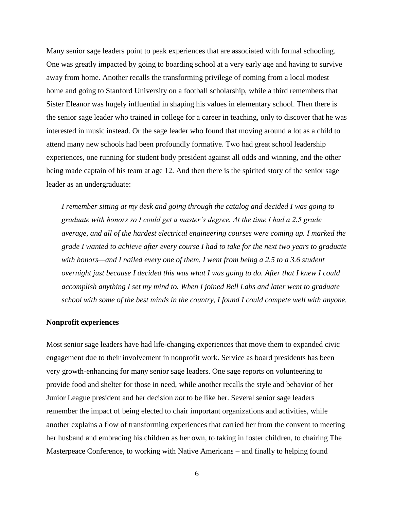Many senior sage leaders point to peak experiences that are associated with formal schooling. One was greatly impacted by going to boarding school at a very early age and having to survive away from home. Another recalls the transforming privilege of coming from a local modest home and going to Stanford University on a football scholarship, while a third remembers that Sister Eleanor was hugely influential in shaping his values in elementary school. Then there is the senior sage leader who trained in college for a career in teaching, only to discover that he was interested in music instead. Or the sage leader who found that moving around a lot as a child to attend many new schools had been profoundly formative. Two had great school leadership experiences, one running for student body president against all odds and winning, and the other being made captain of his team at age 12. And then there is the spirited story of the senior sage leader as an undergraduate:

*I remember sitting at my desk and going through the catalog and decided I was going to graduate with honors so I could get a master's degree. At the time I had a 2.5 grade average, and all of the hardest electrical engineering courses were coming up. I marked the grade I wanted to achieve after every course I had to take for the next two years to graduate with honors—and I nailed every one of them. I went from being a 2.5 to a 3.6 student overnight just because I decided this was what I was going to do. After that I knew I could accomplish anything I set my mind to. When I joined Bell Labs and later went to graduate school with some of the best minds in the country, I found I could compete well with anyone.* 

#### **Nonprofit experiences**

Most senior sage leaders have had life-changing experiences that move them to expanded civic engagement due to their involvement in nonprofit work. Service as board presidents has been very growth-enhancing for many senior sage leaders. One sage reports on volunteering to provide food and shelter for those in need, while another recalls the style and behavior of her Junior League president and her decision *not* to be like her. Several senior sage leaders remember the impact of being elected to chair important organizations and activities, while another explains a flow of transforming experiences that carried her from the convent to meeting her husband and embracing his children as her own, to taking in foster children, to chairing The Masterpeace Conference, to working with Native Americans – and finally to helping found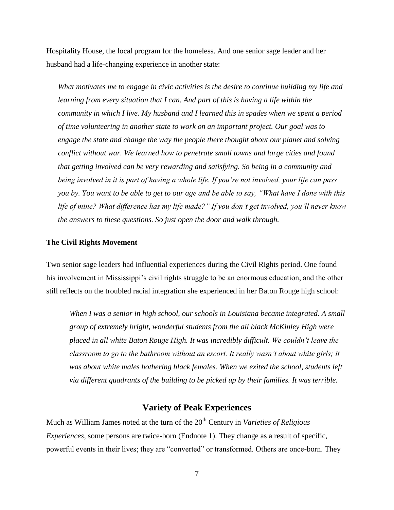Hospitality House, the local program for the homeless. And one senior sage leader and her husband had a life-changing experience in another state:

*What motivates me to engage in civic activities is the desire to continue building my life and learning from every situation that I can. And part of this is having a life within the community in which I live. My husband and I learned this in spades when we spent a period of time volunteering in another state to work on an important project. Our goal was to engage the state and change the way the people there thought about our planet and solving conflict without war. We learned how to penetrate small towns and large cities and found that getting involved can be very rewarding and satisfying. So being in a community and being involved in it is part of having a whole life. If you're not involved, your life can pass you by. You want to be able to get to our age and be able to say, "What have I done with this life of mine? What difference has my life made?" If you don't get involved, you'll never know the answers to these questions. So just open the door and walk through.* 

#### **The Civil Rights Movement**

Two senior sage leaders had influential experiences during the Civil Rights period. One found his involvement in Mississippi's civil rights struggle to be an enormous education, and the other still reflects on the troubled racial integration she experienced in her Baton Rouge high school:

*When I was a senior in high school, our schools in Louisiana became integrated. A small group of extremely bright, wonderful students from the all black McKinley High were placed in all white Baton Rouge High. It was incredibly difficult. We couldn't leave the classroom to go to the bathroom without an escort. It really wasn't about white girls; it*  was about white males bothering black females. When we exited the school, students left *via different quadrants of the building to be picked up by their families. It was terrible.* 

## **Variety of Peak Experiences**

Much as William James noted at the turn of the 20<sup>th</sup> Century in *Varieties of Religious Experiences*, some persons are twice-born (Endnote 1). They change as a result of specific, powerful events in their lives; they are "converted" or transformed. Others are once-born. They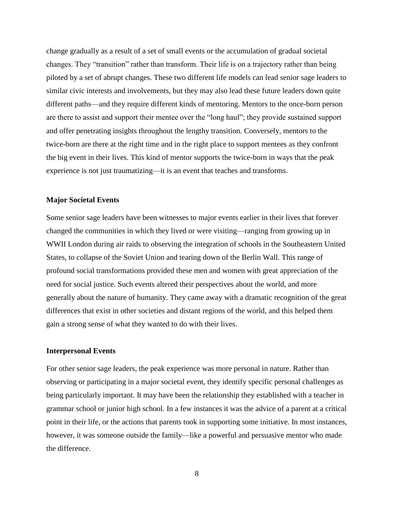change gradually as a result of a set of small events or the accumulation of gradual societal changes. They "transition" rather than transform. Their life is on a trajectory rather than being piloted by a set of abrupt changes. These two different life models can lead senior sage leaders to similar civic interests and involvements, but they may also lead these future leaders down quite different paths—and they require different kinds of mentoring. Mentors to the once-born person are there to assist and support their mentee over the "long haul"; they provide sustained support and offer penetrating insights throughout the lengthy transition. Conversely, mentors to the twice-born are there at the right time and in the right place to support mentees as they confront the big event in their lives. This kind of mentor supports the twice-born in ways that the peak experience is not just traumatizing—it is an event that teaches and transforms.

#### **Major Societal Events**

Some senior sage leaders have been witnesses to major events earlier in their lives that forever changed the communities in which they lived or were visiting—ranging from growing up in WWII London during air raids to observing the integration of schools in the Southeastern United States, to collapse of the Soviet Union and tearing down of the Berlin Wall. This range of profound social transformations provided these men and women with great appreciation of the need for social justice. Such events altered their perspectives about the world, and more generally about the nature of humanity. They came away with a dramatic recognition of the great differences that exist in other societies and distant regions of the world, and this helped them gain a strong sense of what they wanted to do with their lives.

#### **Interpersonal Events**

For other senior sage leaders, the peak experience was more personal in nature. Rather than observing or participating in a major societal event, they identify specific personal challenges as being particularly important. It may have been the relationship they established with a teacher in grammar school or junior high school. In a few instances it was the advice of a parent at a critical point in their life, or the actions that parents took in supporting some initiative. In most instances, however, it was someone outside the family—like a powerful and persuasive mentor who made the difference.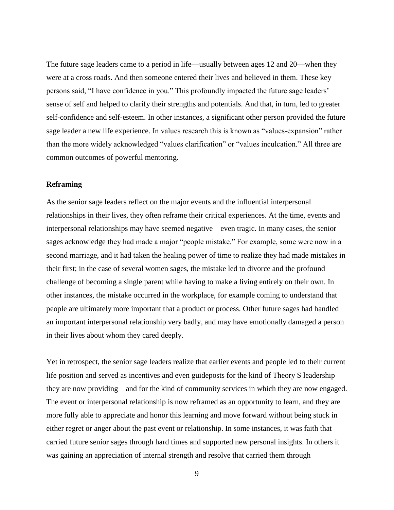The future sage leaders came to a period in life—usually between ages 12 and 20—when they were at a cross roads. And then someone entered their lives and believed in them. These key persons said, "I have confidence in you." This profoundly impacted the future sage leaders' sense of self and helped to clarify their strengths and potentials. And that, in turn, led to greater self-confidence and self-esteem. In other instances, a significant other person provided the future sage leader a new life experience. In values research this is known as "values-expansion" rather than the more widely acknowledged "values clarification" or "values inculcation." All three are common outcomes of powerful mentoring.

#### **Reframing**

As the senior sage leaders reflect on the major events and the influential interpersonal relationships in their lives, they often reframe their critical experiences. At the time, events and interpersonal relationships may have seemed negative – even tragic. In many cases, the senior sages acknowledge they had made a major "people mistake." For example, some were now in a second marriage, and it had taken the healing power of time to realize they had made mistakes in their first; in the case of several women sages, the mistake led to divorce and the profound challenge of becoming a single parent while having to make a living entirely on their own. In other instances, the mistake occurred in the workplace, for example coming to understand that people are ultimately more important that a product or process. Other future sages had handled an important interpersonal relationship very badly, and may have emotionally damaged a person in their lives about whom they cared deeply.

Yet in retrospect, the senior sage leaders realize that earlier events and people led to their current life position and served as incentives and even guideposts for the kind of Theory S leadership they are now providing—and for the kind of community services in which they are now engaged. The event or interpersonal relationship is now reframed as an opportunity to learn, and they are more fully able to appreciate and honor this learning and move forward without being stuck in either regret or anger about the past event or relationship. In some instances, it was faith that carried future senior sages through hard times and supported new personal insights. In others it was gaining an appreciation of internal strength and resolve that carried them through